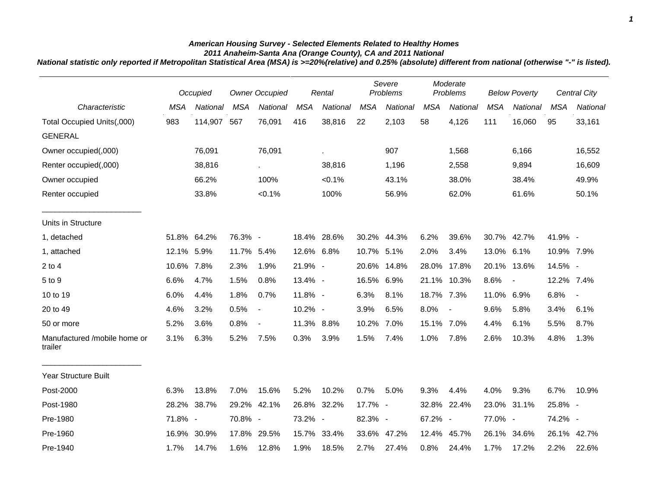## *American Housing Survey - Selected Elements Related to Healthy Homes 2011 Anaheim-Santa Ana (Orange County), CA and 2011 National*

*National statistic only reported if Metropolitan Statistical Area (MSA) is >=20%(relative) and 0.25% (absolute) different from national (otherwise "-" is listed).*

|                                         | Occupied   |          | <b>Owner Occupied</b> |                          | Rental     |             | Severe<br>Problems |                 | Moderate<br>Problems |                | <b>Below Poverty</b> |                | Central City |                          |
|-----------------------------------------|------------|----------|-----------------------|--------------------------|------------|-------------|--------------------|-----------------|----------------------|----------------|----------------------|----------------|--------------|--------------------------|
| Characteristic                          | <b>MSA</b> | National | <b>MSA</b>            | National                 | <b>MSA</b> | National    | <b>MSA</b>         | <b>National</b> | <b>MSA</b>           | National       | <b>MSA</b>           | National       | <b>MSA</b>   | National                 |
| Total Occupied Units(,000)              | 983        | 114,907  | 567                   | 76,091                   | 416        | 38,816      | 22                 | 2,103           | 58                   | 4,126          | 111                  | 16,060         | 95           | 33,161                   |
| <b>GENERAL</b>                          |            |          |                       |                          |            |             |                    |                 |                      |                |                      |                |              |                          |
| Owner occupied(,000)                    |            | 76,091   |                       | 76,091                   |            | à.          |                    | 907             |                      | 1,568          |                      | 6,166          |              | 16,552                   |
| Renter occupied(,000)                   |            | 38,816   |                       | $\sim$                   |            | 38,816      |                    | 1,196           |                      | 2,558          |                      | 9,894          |              | 16,609                   |
| Owner occupied                          |            | 66.2%    |                       | 100%                     |            | $< 0.1\%$   |                    | 43.1%           |                      | 38.0%          |                      | 38.4%          |              | 49.9%                    |
| Renter occupied                         |            | 33.8%    |                       | $< 0.1\%$                |            | 100%        |                    | 56.9%           |                      | 62.0%          |                      | 61.6%          |              | 50.1%                    |
| Units in Structure                      |            |          |                       |                          |            |             |                    |                 |                      |                |                      |                |              |                          |
| 1, detached                             | 51.8%      | 64.2%    | 76.3% -               |                          |            | 18.4% 28.6% |                    | 30.2% 44.3%     | 6.2%                 | 39.6%          |                      | 30.7% 42.7%    | 41.9% -      |                          |
| 1, attached                             | 12.1%      | 5.9%     | 11.7% 5.4%            |                          | 12.6% 6.8% |             | 10.7% 5.1%         |                 | 2.0%                 | 3.4%           | 13.0% 6.1%           |                | 10.9% 7.9%   |                          |
| $2$ to $4$                              | 10.6% 7.8% |          | 2.3%                  | 1.9%                     | 21.9% -    |             |                    | 20.6% 14.8%     | 28.0%                | 17.8%          | 20.1%                | 13.6%          | 14.5% -      |                          |
| 5 to 9                                  | 6.6%       | 4.7%     | 1.5%                  | 0.8%                     | 13.4% -    |             | 16.5% 6.9%         |                 |                      | 21.1% 10.3%    | 8.6%                 | $\blacksquare$ | 12.2% 7.4%   |                          |
| 10 to 19                                | 6.0%       | 4.4%     | 1.8%                  | 0.7%                     | 11.8% -    |             | 6.3%               | 8.1%            | 18.7% 7.3%           |                | 11.0% 6.9%           |                | 6.8%         | $\overline{\phantom{a}}$ |
| 20 to 49                                | 4.6%       | 3.2%     | 0.5%                  | $\overline{\phantom{a}}$ | 10.2% -    |             | 3.9%               | 6.5%            | 8.0%                 | $\blacksquare$ | 9.6%                 | 5.8%           | 3.4%         | 6.1%                     |
| 50 or more                              | 5.2%       | 3.6%     | 0.8%                  | $\overline{\phantom{a}}$ | 11.3% 8.8% |             | 10.2%              | 7.0%            | 15.1% 7.0%           |                | 4.4%                 | 6.1%           | 5.5%         | 8.7%                     |
| Manufactured /mobile home or<br>trailer | 3.1%       | 6.3%     | 5.2%                  | 7.5%                     | 0.3%       | 3.9%        | 1.5%               | 7.4%            | 1.0%                 | 7.8%           | 2.6%                 | 10.3%          | 4.8%         | 1.3%                     |
| <b>Year Structure Built</b>             |            |          |                       |                          |            |             |                    |                 |                      |                |                      |                |              |                          |
| Post-2000                               | 6.3%       | 13.8%    | 7.0%                  | 15.6%                    | 5.2%       | 10.2%       | 0.7%               | 5.0%            | 9.3%                 | 4.4%           | 4.0%                 | 9.3%           | 6.7%         | 10.9%                    |
| Post-1980                               | 28.2%      | 38.7%    | 29.2%                 | 42.1%                    | 26.8%      | 32.2%       | 17.7% -            |                 | 32.8%                | 22.4%          |                      | 23.0% 31.1%    | 25.8% -      |                          |
| Pre-1980                                | 71.8% -    |          | 70.8% -               |                          | 73.2% -    |             | 82.3% -            |                 | 67.2% -              |                | 77.0% -              |                | 74.2% -      |                          |
| Pre-1960                                | 16.9%      | 30.9%    |                       | 17.8% 29.5%              |            | 15.7% 33.4% |                    | 33.6% 47.2%     | 12.4%                | 45.7%          | 26.1%                | 34.6%          | 26.1%        | 42.7%                    |
| Pre-1940                                | 1.7%       | 14.7%    | 1.6%                  | 12.8%                    | 1.9%       | 18.5%       | 2.7%               | 27.4%           | 0.8%                 | 24.4%          | 1.7%                 | 17.2%          | 2.2%         | 22.6%                    |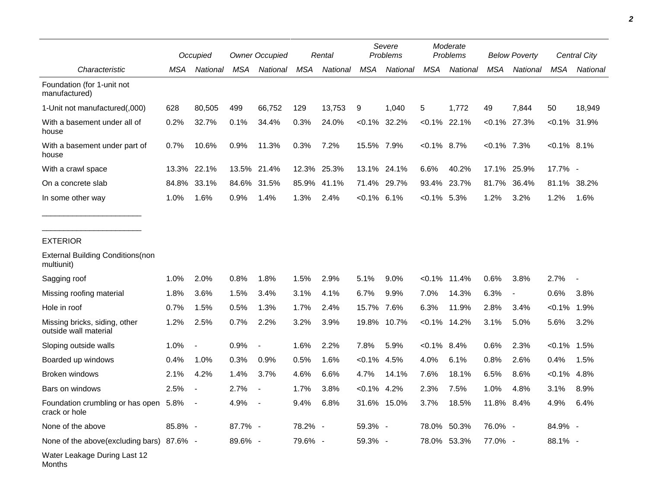|                                                        | Occupied |                          | <b>Owner Occupied</b> |                | Rental     |          | Severe<br>Problems |                 | Moderate<br>Problems |                 | <b>Below Poverty</b> |                          | Central City   |                 |
|--------------------------------------------------------|----------|--------------------------|-----------------------|----------------|------------|----------|--------------------|-----------------|----------------------|-----------------|----------------------|--------------------------|----------------|-----------------|
| Characteristic                                         | MSA      | National                 | MSA                   | National       | <b>MSA</b> | National | <b>MSA</b>         | National        | <b>MSA</b>           | National        | <b>MSA</b>           | National                 | <b>MSA</b>     | National        |
| Foundation (for 1-unit not<br>manufactured)            |          |                          |                       |                |            |          |                    |                 |                      |                 |                      |                          |                |                 |
| 1-Unit not manufactured(,000)                          | 628      | 80,505                   | 499                   | 66,752         | 129        | 13,753   | 9                  | 1,040           | 5                    | 1,772           | 49                   | 7,844                    | 50             | 18,949          |
| With a basement under all of<br>house                  | 0.2%     | 32.7%                    | 0.1%                  | 34.4%          | 0.3%       | 24.0%    |                    | $< 0.1\%$ 32.2% |                      | $< 0.1\%$ 22.1% |                      | $< 0.1\%$ 27.3%          |                | $< 0.1\%$ 31.9% |
| With a basement under part of<br>house                 | 0.7%     | 10.6%                    | 0.9%                  | 11.3%          | 0.3%       | 7.2%     | 15.5% 7.9%         |                 | $< 0.1\%$ 8.7%       |                 | $< 0.1\%$ 7.3%       |                          | $< 0.1\%$ 8.1% |                 |
| With a crawl space                                     | 13.3%    | 22.1%                    | 13.5%                 | 21.4%          | 12.3%      | 25.3%    | 13.1%              | 24.1%           | 6.6%                 | 40.2%           | 17.1%                | 25.9%                    | 17.7% -        |                 |
| On a concrete slab                                     | 84.8%    | 33.1%                    | 84.6%                 | 31.5%          | 85.9%      | 41.1%    |                    | 71.4% 29.7%     |                      | 93.4% 23.7%     | 81.7%                | 36.4%                    | 81.1%          | 38.2%           |
| In some other way                                      | 1.0%     | 1.6%                     | 0.9%                  | 1.4%           | 1.3%       | 2.4%     | $< 0.1\%$ 6.1%     |                 | $< 0.1\%$ 5.3%       |                 | 1.2%                 | 3.2%                     | 1.2%           | 1.6%            |
| <b>EXTERIOR</b>                                        |          |                          |                       |                |            |          |                    |                 |                      |                 |                      |                          |                |                 |
| <b>External Building Conditions (non</b><br>multiunit) |          |                          |                       |                |            |          |                    |                 |                      |                 |                      |                          |                |                 |
| Sagging roof                                           | 1.0%     | 2.0%                     | 0.8%                  | 1.8%           | 1.5%       | 2.9%     | 5.1%               | 9.0%            | $< 0.1\%$            | 11.4%           | 0.6%                 | 3.8%                     | 2.7%           |                 |
| Missing roofing material                               | 1.8%     | 3.6%                     | 1.5%                  | 3.4%           | 3.1%       | 4.1%     | 6.7%               | 9.9%            | 7.0%                 | 14.3%           | 6.3%                 | $\overline{\phantom{a}}$ | 0.6%           | 3.8%            |
| Hole in roof                                           | 0.7%     | 1.5%                     | 0.5%                  | 1.3%           | 1.7%       | 2.4%     | 15.7%              | 7.6%            | 6.3%                 | 11.9%           | 2.8%                 | 3.4%                     | $< 0.1\%$      | 1.9%            |
| Missing bricks, siding, other<br>outside wall material | 1.2%     | 2.5%                     | 0.7%                  | 2.2%           | 3.2%       | 3.9%     | 19.8%              | 10.7%           | $< 0.1\%$            | 14.2%           | 3.1%                 | 5.0%                     | 5.6%           | 3.2%            |
| Sloping outside walls                                  | 1.0%     | $\overline{\phantom{a}}$ | 0.9%                  | $\blacksquare$ | 1.6%       | 2.2%     | 7.8%               | 5.9%            | $< 0.1\%$            | 8.4%            | 0.6%                 | 2.3%                     | $< 0.1\%$      | 1.5%            |
| Boarded up windows                                     | 0.4%     | 1.0%                     | 0.3%                  | 0.9%           | 0.5%       | 1.6%     | $< 0.1\%$          | 4.5%            | 4.0%                 | 6.1%            | 0.8%                 | 2.6%                     | 0.4%           | 1.5%            |
| Broken windows                                         | 2.1%     | 4.2%                     | 1.4%                  | 3.7%           | 4.6%       | 6.6%     | 4.7%               | 14.1%           | 7.6%                 | 18.1%           | 6.5%                 | 8.6%                     | $< 0.1\%$      | 4.8%            |
| Bars on windows                                        | 2.5%     |                          | 2.7%                  |                | 1.7%       | 3.8%     | $< 0.1\%$          | 4.2%            | 2.3%                 | 7.5%            | 1.0%                 | 4.8%                     | 3.1%           | 8.9%            |
| Foundation crumbling or has open<br>crack or hole      | 5.8%     |                          | 4.9%                  |                | 9.4%       | 6.8%     |                    | 31.6% 15.0%     | 3.7%                 | 18.5%           | 11.8%                | 8.4%                     | 4.9%           | 6.4%            |
| None of the above                                      | 85.8% -  |                          | 87.7% -               |                | 78.2% -    |          | 59.3% -            |                 |                      | 78.0% 50.3%     | 76.0% -              |                          | 84.9% -        |                 |
| None of the above(excluding bars) 87.6% -              |          |                          | 89.6% -               |                | 79.6% -    |          | 59.3% -            |                 |                      | 78.0% 53.3%     | 77.0% -              |                          | 88.1% -        |                 |
| Water Leakage During Last 12<br>Months                 |          |                          |                       |                |            |          |                    |                 |                      |                 |                      |                          |                |                 |

*2*

٠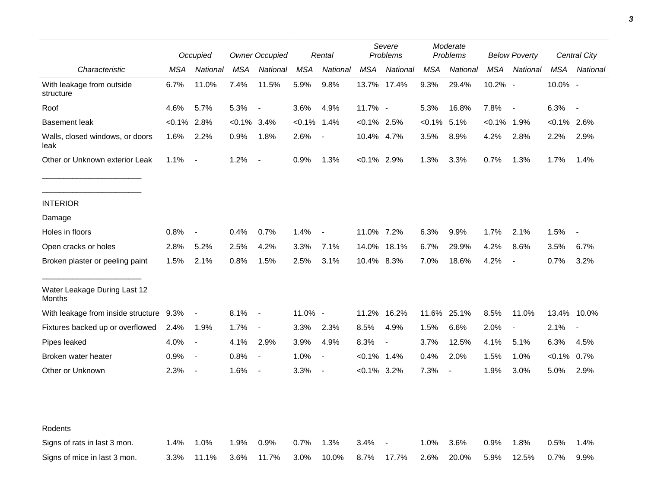|                                         |           | Occupied                 |           | <b>Owner Occupied</b>    |            | Rental                   |                | Severe<br>Problems |            | Moderate<br>Problems |            | <b>Below Poverty</b>     |           | Central City             |  |
|-----------------------------------------|-----------|--------------------------|-----------|--------------------------|------------|--------------------------|----------------|--------------------|------------|----------------------|------------|--------------------------|-----------|--------------------------|--|
| Characteristic                          | MSA       | National                 | MSA       | National                 | <b>MSA</b> | National                 | <b>MSA</b>     | National           | <b>MSA</b> | National             | <b>MSA</b> | National                 | MSA       | National                 |  |
| With leakage from outside<br>structure  | 6.7%      | 11.0%                    | 7.4%      | 11.5%                    | 5.9%       | 9.8%                     | 13.7% 17.4%    |                    | 9.3%       | 29.4%                | 10.2% -    |                          | 10.0% -   |                          |  |
| Roof                                    | 4.6%      | 5.7%                     | 5.3%      | $\overline{\phantom{a}}$ | 3.6%       | 4.9%                     | 11.7% -        |                    | 5.3%       | 16.8%                | 7.8%       | $\overline{\phantom{a}}$ | 6.3%      | $\blacksquare$           |  |
| <b>Basement leak</b>                    | $< 0.1\%$ | 2.8%                     | $< 0.1\%$ | 3.4%                     | $< 0.1\%$  | 1.4%                     | $< 0.1\%$ 2.5% |                    | $< 0.1\%$  | 5.1%                 | <0.1%      | 1.9%                     | $< 0.1\%$ | 2.6%                     |  |
| Walls, closed windows, or doors<br>leak | 1.6%      | 2.2%                     | 0.9%      | 1.8%                     | 2.6%       | $\blacksquare$           | 10.4% 4.7%     |                    | 3.5%       | 8.9%                 | 4.2%       | 2.8%                     | 2.2%      | 2.9%                     |  |
| Other or Unknown exterior Leak          | 1.1%      | $\blacksquare$           | 1.2%      | $\overline{\phantom{a}}$ | 0.9%       | 1.3%                     | $<0.1\%$ 2.9%  |                    | 1.3%       | 3.3%                 | 0.7%       | 1.3%                     | 1.7%      | 1.4%                     |  |
| <b>INTERIOR</b>                         |           |                          |           |                          |            |                          |                |                    |            |                      |            |                          |           |                          |  |
| Damage                                  |           |                          |           |                          |            |                          |                |                    |            |                      |            |                          |           |                          |  |
| Holes in floors                         | 0.8%      | $\overline{\phantom{a}}$ | 0.4%      | 0.7%                     | 1.4%       | $\overline{\phantom{a}}$ | 11.0% 7.2%     |                    | 6.3%       | 9.9%                 | 1.7%       | 2.1%                     | 1.5%      |                          |  |
| Open cracks or holes                    | 2.8%      | 5.2%                     | 2.5%      | 4.2%                     | 3.3%       | 7.1%                     | 14.0%          | 18.1%              | 6.7%       | 29.9%                | 4.2%       | 8.6%                     | 3.5%      | 6.7%                     |  |
| Broken plaster or peeling paint         | 1.5%      | 2.1%                     | 0.8%      | 1.5%                     | 2.5%       | 3.1%                     | 10.4% 8.3%     |                    | 7.0%       | 18.6%                | 4.2%       | $\overline{\phantom{a}}$ | 0.7%      | 3.2%                     |  |
| Water Leakage During Last 12<br>Months  |           |                          |           |                          |            |                          |                |                    |            |                      |            |                          |           |                          |  |
| With leakage from inside structure 9.3% |           | $\overline{\phantom{a}}$ | 8.1%      | $\overline{\phantom{a}}$ | 11.0% -    |                          | 11.2%          | 16.2%              | 11.6%      | 25.1%                | 8.5%       | 11.0%                    | 13.4%     | 10.0%                    |  |
| Fixtures backed up or overflowed        | 2.4%      | 1.9%                     | 1.7%      | $\blacksquare$           | 3.3%       | 2.3%                     | 8.5%           | 4.9%               | 1.5%       | 6.6%                 | 2.0%       | $\overline{\phantom{a}}$ | 2.1%      | $\overline{\phantom{a}}$ |  |
| Pipes leaked                            | 4.0%      | $\overline{\phantom{a}}$ | 4.1%      | 2.9%                     | 3.9%       | 4.9%                     | 8.3%           |                    | 3.7%       | 12.5%                | 4.1%       | 5.1%                     | 6.3%      | 4.5%                     |  |
| Broken water heater                     | 0.9%      | $\overline{\phantom{a}}$ | 0.8%      | $\blacksquare$           | 1.0%       | $\overline{\phantom{a}}$ | $< 0.1\%$      | 1.4%               | 0.4%       | 2.0%                 | 1.5%       | 1.0%                     | $<0.1\%$  | $0.7\%$                  |  |
| Other or Unknown                        | 2.3%      | $\blacksquare$           | 1.6%      | $\overline{\phantom{a}}$ | 3.3%       | $\blacksquare$           | $< 0.1\%$ 3.2% |                    | 7.3%       | $\blacksquare$       | 1.9%       | 3.0%                     | 5.0%      | 2.9%                     |  |
|                                         |           |                          |           |                          |            |                          |                |                    |            |                      |            |                          |           |                          |  |
| Rodents                                 |           |                          |           |                          |            |                          |                |                    |            |                      |            |                          |           |                          |  |
| Signs of rats in last 3 mon.            | 1.4%      | 1.0%                     | 1.9%      | 0.9%                     | 0.7%       | 1.3%                     | 3.4%           |                    | 1.0%       | 3.6%                 | 0.9%       | 1.8%                     | 0.5%      | 1.4%                     |  |
| Signs of mice in last 3 mon.            | 3.3%      | 11.1%                    | 3.6%      | 11.7%                    | 3.0%       | 10.0%                    | 8.7%           | 17.7%              | 2.6%       | 20.0%                | 5.9%       | 12.5%                    | 0.7%      | 9.9%                     |  |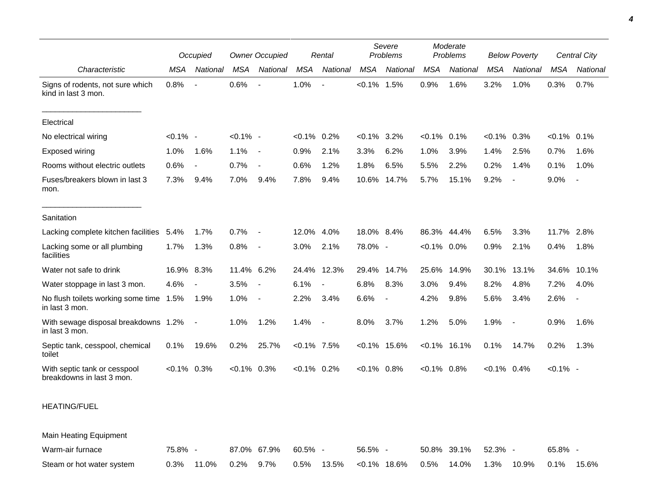|                                                           |             | Occupied                 |                | <b>Owner Occupied</b>    |                | Rental                   |                | Severe<br>Problems |                | Moderate<br>Problems | <b>Below Poverty</b> |                          |                | <b>Central City</b>      |
|-----------------------------------------------------------|-------------|--------------------------|----------------|--------------------------|----------------|--------------------------|----------------|--------------------|----------------|----------------------|----------------------|--------------------------|----------------|--------------------------|
| Characteristic                                            | <b>MSA</b>  | National                 | <b>MSA</b>     | National                 | <b>MSA</b>     | National                 | <b>MSA</b>     | National           | <b>MSA</b>     | National             | <b>MSA</b>           | National                 | <b>MSA</b>     | National                 |
| Signs of rodents, not sure which<br>kind in last 3 mon.   | 0.8%        | $\overline{a}$           | 0.6%           |                          | 1.0%           |                          | $< 0.1\%$      | 1.5%               | 0.9%           | 1.6%                 | 3.2%                 | 1.0%                     | 0.3%           | 0.7%                     |
| Electrical                                                |             |                          |                |                          |                |                          |                |                    |                |                      |                      |                          |                |                          |
| No electrical wiring                                      | $< 0.1\%$ - |                          | $< 0.1\%$ -    |                          | $< 0.1\%$ 0.2% |                          | $<0.1\%$       | 3.2%               | $< 0.1\%$      | 0.1%                 | $<0.1\%$ 0.3%        |                          | $< 0.1\%$ 0.1% |                          |
| Exposed wiring                                            | 1.0%        | 1.6%                     | 1.1%           | $\overline{\phantom{a}}$ | 0.9%           | 2.1%                     | 3.3%           | 6.2%               | 1.0%           | 3.9%                 | 1.4%                 | 2.5%                     | 0.7%           | 1.6%                     |
| Rooms without electric outlets                            | 0.6%        | $\blacksquare$           | 0.7%           |                          | 0.6%           | 1.2%                     | 1.8%           | 6.5%               | 5.5%           | 2.2%                 | 0.2%                 | 1.4%                     | 0.1%           | 1.0%                     |
| Fuses/breakers blown in last 3<br>mon.                    | 7.3%        | 9.4%                     | 7.0%           | 9.4%                     | 7.8%           | 9.4%                     | 10.6%          | 14.7%              | 5.7%           | 15.1%                | 9.2%                 | $\blacksquare$           | 9.0%           | $\overline{\phantom{a}}$ |
| Sanitation                                                |             |                          |                |                          |                |                          |                |                    |                |                      |                      |                          |                |                          |
| Lacking complete kitchen facilities                       | 5.4%        | 1.7%                     | 0.7%           |                          | 12.0%          | 4.0%                     | 18.0% 8.4%     |                    |                | 86.3% 44.4%          | 6.5%                 | 3.3%                     | 11.7%          | 2.8%                     |
| Lacking some or all plumbing<br>facilities                | 1.7%        | 1.3%                     | 0.8%           | $\overline{\phantom{a}}$ | 3.0%           | 2.1%                     | 78.0% -        |                    | $< 0.1\%$ 0.0% |                      | 0.9%                 | 2.1%                     | 0.4%           | 1.8%                     |
| Water not safe to drink                                   | 16.9% 8.3%  |                          | 11.4% 6.2%     |                          |                | 24.4% 12.3%              | 29.4%          | 14.7%              | 25.6%          | 14.9%                | 30.1%                | 13.1%                    | 34.6%          | 10.1%                    |
| Water stoppage in last 3 mon.                             | 4.6%        | $\overline{a}$           | 3.5%           | $\overline{\phantom{a}}$ | 6.1%           | $\overline{a}$           | 6.8%           | 8.3%               | 3.0%           | 9.4%                 | 8.2%                 | 4.8%                     | 7.2%           | 4.0%                     |
| No flush toilets working some time 1.5%<br>in last 3 mon. |             | 1.9%                     | 1.0%           | $\overline{\phantom{a}}$ | 2.2%           | 3.4%                     | 6.6%           | $\blacksquare$     | 4.2%           | 9.8%                 | 5.6%                 | 3.4%                     | 2.6%           | $\overline{\phantom{a}}$ |
| With sewage disposal breakdowns 1.2%<br>in last 3 mon.    |             | $\overline{\phantom{a}}$ | 1.0%           | 1.2%                     | 1.4%           | $\overline{\phantom{a}}$ | 8.0%           | 3.7%               | 1.2%           | 5.0%                 | 1.9%                 | $\overline{\phantom{a}}$ | 0.9%           | 1.6%                     |
| Septic tank, cesspool, chemical<br>toilet                 | 0.1%        | 19.6%                    | 0.2%           | 25.7%                    | $< 0.1\%$ 7.5% |                          |                | $< 0.1\%$ 15.6%    |                | $< 0.1\%$ 16.1%      | 0.1%                 | 14.7%                    | 0.2%           | 1.3%                     |
| With septic tank or cesspool<br>breakdowns in last 3 mon. | $< 0.1\%$   | 0.3%                     | $< 0.1\%$ 0.3% |                          | $< 0.1\%$ 0.2% |                          | $< 0.1\%$ 0.8% |                    | $< 0.1\%$ 0.8% |                      | $< 0.1\%$ 0.4%       |                          | $< 0.1\%$ -    |                          |

## HEATING/FUEL

Main Heating Equipment Warm-air furnace **75.8% - 87.0% 67.9% 60.5% - 56.5% - 50.8% 39.1%** 52.3% - 65.8% -Steam or hot water system 0.3% 11.0% 0.2% 9.7% 0.5% 13.5% <0.1% 18.6% 0.5% 14.0% 1.3% 10.9% 0.1% 15.6%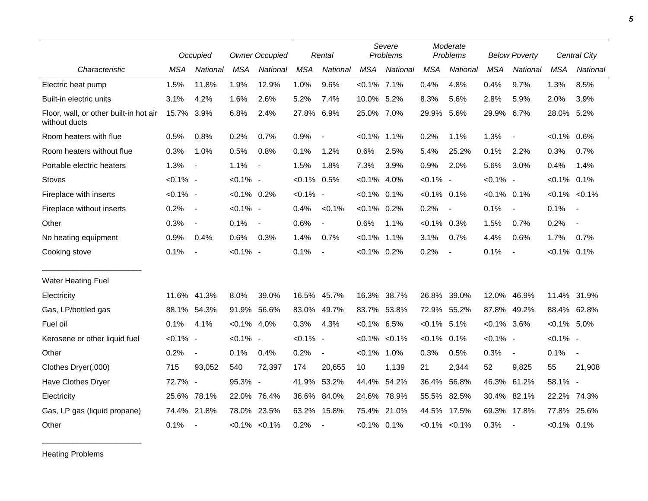|                                                         | Occupied    |                          | <b>Owner Occupied</b> |                          | Rental         |                          | Severe<br>Problems |                     | Moderate<br>Problems |                          | <b>Below Poverty</b> |                          | <b>Central City</b> |                          |
|---------------------------------------------------------|-------------|--------------------------|-----------------------|--------------------------|----------------|--------------------------|--------------------|---------------------|----------------------|--------------------------|----------------------|--------------------------|---------------------|--------------------------|
| Characteristic                                          | <b>MSA</b>  | National                 | <b>MSA</b>            | National                 | <b>MSA</b>     | National                 | <b>MSA</b>         | National            | <b>MSA</b>           | National                 | <b>MSA</b>           | National                 | <b>MSA</b>          | National                 |
| Electric heat pump                                      | 1.5%        | 11.8%                    | 1.9%                  | 12.9%                    | 1.0%           | 9.6%                     | $< 0.1\%$ 7.1%     |                     | 0.4%                 | 4.8%                     | 0.4%                 | 9.7%                     | 1.3%                | 8.5%                     |
| Built-in electric units                                 | 3.1%        | 4.2%                     | 1.6%                  | 2.6%                     | 5.2%           | 7.4%                     | 10.0% 5.2%         |                     | 8.3%                 | 5.6%                     | 2.8%                 | 5.9%                     | 2.0%                | 3.9%                     |
| Floor, wall, or other built-in hot air<br>without ducts | 15.7%       | 3.9%                     | 6.8%                  | 2.4%                     | 27.8% 6.9%     |                          | 25.0% 7.0%         |                     | 29.9%                | 5.6%                     | 29.9%                | 6.7%                     | 28.0% 5.2%          |                          |
| Room heaters with flue                                  | 0.5%        | 0.8%                     | 0.2%                  | 0.7%                     | 0.9%           | $\blacksquare$           | $< 0.1\%$          | 1.1%                | 0.2%                 | 1.1%                     | 1.3%                 | $\overline{\phantom{a}}$ | $< 0.1\%$           | 0.6%                     |
| Room heaters without flue                               | 0.3%        | 1.0%                     | 0.5%                  | 0.8%                     | 0.1%           | 1.2%                     | 0.6%               | 2.5%                | 5.4%                 | 25.2%                    | 0.1%                 | 2.2%                     | 0.3%                | 0.7%                     |
| Portable electric heaters                               | 1.3%        | $\blacksquare$           | 1.1%                  | $\overline{\phantom{a}}$ | 1.5%           | 1.8%                     | 7.3%               | 3.9%                | 0.9%                 | 2.0%                     | 5.6%                 | 3.0%                     | 0.4%                | 1.4%                     |
| <b>Stoves</b>                                           | $< 0.1\%$ - |                          | $< 0.1\%$ -           |                          | $< 0.1\%$ 0.5% |                          | $< 0.1\%$ 4.0%     |                     | $< 0.1\%$ -          |                          | $< 0.1\%$ -          |                          | $< 0.1\%$ 0.1%      |                          |
| Fireplace with inserts                                  | $< 0.1\%$ - |                          | $< 0.1\%$ 0.2%        |                          | $< 0.1\%$ -    |                          | $< 0.1\%$ 0.1%     |                     | $< 0.1\%$            | 0.1%                     | $< 0.1\%$ 0.1%       |                          |                     | $< 0.1\%$ $< 0.1\%$      |
| Fireplace without inserts                               | 0.2%        | $\overline{\phantom{a}}$ | $< 0.1\%$ -           |                          | 0.4%           | $< 0.1\%$                | $< 0.1\%$ 0.2%     |                     | 0.2%                 | $\overline{\phantom{a}}$ | 0.1%                 | $\overline{\phantom{a}}$ | 0.1%                | $\sim$                   |
| Other                                                   | 0.3%        | $\overline{\phantom{a}}$ | 0.1%                  | $\overline{\phantom{a}}$ | 0.6%           | $\overline{\phantom{a}}$ | 0.6%               | 1.1%                | $< 0.1\%$ 0.3%       |                          | 1.5%                 | 0.7%                     | 0.2%                | $\overline{\phantom{a}}$ |
| No heating equipment                                    | 0.9%        | 0.4%                     | 0.6%                  | 0.3%                     | 1.4%           | 0.7%                     | $< 0.1\%$          | 1.1%                | 3.1%                 | 0.7%                     | 4.4%                 | 0.6%                     | 1.7%                | 0.7%                     |
| Cooking stove                                           | 0.1%        | $\blacksquare$           | $< 0.1\%$ -           |                          | 0.1%           | $\overline{\phantom{a}}$ | $< 0.1\%$ 0.2%     |                     | 0.2%                 | $\overline{\phantom{a}}$ | 0.1%                 | $\overline{\phantom{a}}$ | $< 0.1\%$ 0.1%      |                          |
| <b>Water Heating Fuel</b>                               |             |                          |                       |                          |                |                          |                    |                     |                      |                          |                      |                          |                     |                          |
| Electricity                                             | 11.6%       | 41.3%                    | 8.0%                  | 39.0%                    |                | 16.5% 45.7%              | 16.3%              | 38.7%               | 26.8%                | 39.0%                    | 12.0%                | 46.9%                    | 11.4% 31.9%         |                          |
| Gas, LP/bottled gas                                     |             | 88.1% 54.3%              | 91.9%                 | 56.6%                    |                | 83.0% 49.7%              | 83.7%              | 53.8%               |                      | 72.9% 55.2%              | 87.8%                | 49.2%                    | 88.4% 62.8%         |                          |
| Fuel oil                                                | 0.1%        | 4.1%                     | $< 0.1\%$ 4.0%        |                          | 0.3%           | 4.3%                     | $< 0.1\%$ 6.5%     |                     | $< 0.1\%$ 5.1%       |                          | $< 0.1\%$ 3.6%       |                          | $< 0.1\%$ 5.0%      |                          |
| Kerosene or other liquid fuel                           | $< 0.1\%$ - |                          | $< 0.1\%$ -           |                          | $< 0.1\%$ -    |                          |                    | $< 0.1\%$ $< 0.1\%$ | $< 0.1\%$            | 0.1%                     | $< 0.1\%$ -          |                          | $< 0.1\%$ -         |                          |
| Other                                                   | 0.2%        | $\blacksquare$           | 0.1%                  | 0.4%                     | 0.2%           | $\overline{\phantom{a}}$ | $< 0.1\%$          | 1.0%                | 0.3%                 | 0.5%                     | 0.3%                 | $\blacksquare$           | 0.1%                | $\sim$                   |
| Clothes Dryer(,000)                                     | 715         | 93,052                   | 540                   | 72,397                   | 174            | 20,655                   | 10 <sup>°</sup>    | 1,139               | 21                   | 2,344                    | 52                   | 9,825                    | 55                  | 21,908                   |
| Have Clothes Dryer                                      | 72.7% -     |                          | 95.3% -               |                          |                | 41.9% 53.2%              | 44.4%              | 54.2%               | 36.4%                | 56.8%                    | 46.3% 61.2%          |                          | 58.1% -             |                          |
| Electricity                                             | 25.6%       | 78.1%                    | 22.0%                 | 76.4%                    | 36.6%          | 84.0%                    | 24.6%              | 78.9%               | 55.5%                | 82.5%                    | 30.4%                | 82.1%                    | 22.2%               | 74.3%                    |
| Gas, LP gas (liquid propane)                            | 74.4%       | 21.8%                    | 78.0% 23.5%           |                          | 63.2%          | 15.8%                    | 75.4%              | 21.0%               | 44.5%                | 17.5%                    | 69.3%                | 17.8%                    | 77.8%               | 25.6%                    |
| Other                                                   | 0.1%        | $\blacksquare$           |                       | $< 0.1\%$ $< 0.1\%$      | 0.2%           |                          | $< 0.1\%$ 0.1%     |                     |                      | $< 0.1\%$ $< 0.1\%$      | 0.3%                 | $\overline{\phantom{a}}$ | $< 0.1\%$ 0.1%      |                          |

Heating Problems

\_\_\_\_\_\_\_\_\_\_\_\_\_\_\_\_\_\_\_\_\_\_\_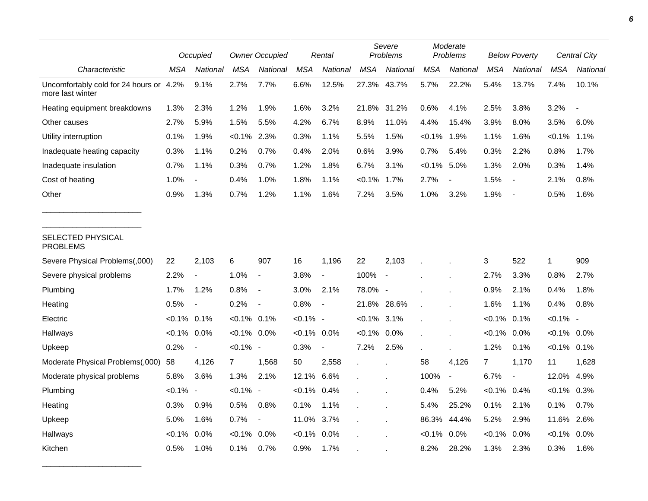|                                                             |                | Occupied                 |                | <b>Owner Occupied</b>    |                | Rental         |                | Severe<br>Problems       |            | Moderate<br>Problems |                | <b>Below Poverty</b>     |                | Central City |  |
|-------------------------------------------------------------|----------------|--------------------------|----------------|--------------------------|----------------|----------------|----------------|--------------------------|------------|----------------------|----------------|--------------------------|----------------|--------------|--|
| Characteristic                                              | MSA            | National                 | MSA            | National                 | <b>MSA</b>     | National       | <b>MSA</b>     | National                 | <b>MSA</b> | <b>National</b>      | <b>MSA</b>     | <b>National</b>          | MSA            | National     |  |
| Uncomfortably cold for 24 hours or 4.2%<br>more last winter |                | 9.1%                     | 2.7%           | 7.7%                     | 6.6%           | 12.5%          | 27.3%          | 43.7%                    | 5.7%       | 22.2%                | 5.4%           | 13.7%                    | 7.4%           | 10.1%        |  |
| Heating equipment breakdowns                                | 1.3%           | 2.3%                     | 1.2%           | 1.9%                     | 1.6%           | 3.2%           | 21.8%          | 31.2%                    | 0.6%       | 4.1%                 | 2.5%           | 3.8%                     | 3.2%           |              |  |
| Other causes                                                | 2.7%           | 5.9%                     | 1.5%           | 5.5%                     | 4.2%           | 6.7%           | 8.9%           | 11.0%                    | 4.4%       | 15.4%                | 3.9%           | 8.0%                     | 3.5%           | 6.0%         |  |
| Utility interruption                                        | 0.1%           | 1.9%                     | $< 0.1\%$      | 2.3%                     | 0.3%           | 1.1%           | 5.5%           | 1.5%                     | $< 0.1\%$  | 1.9%                 | 1.1%           | 1.6%                     | $< 0.1\%$      | 1.1%         |  |
| Inadequate heating capacity                                 | 0.3%           | 1.1%                     | 0.2%           | 0.7%                     | 0.4%           | 2.0%           | 0.6%           | 3.9%                     | 0.7%       | 5.4%                 | 0.3%           | 2.2%                     | 0.8%           | 1.7%         |  |
| Inadequate insulation                                       | 0.7%           | 1.1%                     | 0.3%           | 0.7%                     | 1.2%           | 1.8%           | 6.7%           | 3.1%                     | $< 0.1\%$  | 5.0%                 | 1.3%           | 2.0%                     | 0.3%           | 1.4%         |  |
| Cost of heating                                             | 1.0%           |                          | 0.4%           | 1.0%                     | 1.8%           | 1.1%           | $< 0.1\%$      | 1.7%                     | 2.7%       |                      | 1.5%           | $\overline{\phantom{a}}$ | 2.1%           | 0.8%         |  |
| Other                                                       | 0.9%           | 1.3%                     | 0.7%           | 1.2%                     | 1.1%           | 1.6%           | 7.2%           | 3.5%                     | 1.0%       | 3.2%                 | 1.9%           | $\overline{\phantom{a}}$ | 0.5%           | 1.6%         |  |
| <b>SELECTED PHYSICAL</b><br><b>PROBLEMS</b>                 |                |                          |                |                          |                |                |                |                          |            |                      |                |                          |                |              |  |
| Severe Physical Problems(,000)                              | 22             | 2,103                    | 6              | 907                      | 16             | 1,196          | 22             | 2,103                    |            |                      | 3              | 522                      | $\mathbf{1}$   | 909          |  |
| Severe physical problems                                    | 2.2%           | $\overline{\phantom{a}}$ | 1.0%           | $\overline{\phantom{a}}$ | 3.8%           | $\blacksquare$ | 100%           | $\overline{\phantom{a}}$ |            |                      | 2.7%           | 3.3%                     | 0.8%           | 2.7%         |  |
| Plumbing                                                    | 1.7%           | 1.2%                     | 0.8%           | $\overline{\phantom{a}}$ | 3.0%           | 2.1%           | 78.0% -        |                          |            |                      | 0.9%           | 2.1%                     | 0.4%           | 1.8%         |  |
| Heating                                                     | 0.5%           | $\overline{\phantom{a}}$ | 0.2%           | $\overline{\phantom{a}}$ | 0.8%           | $\blacksquare$ | 21.8%          | 28.6%                    |            |                      | 1.6%           | 1.1%                     | 0.4%           | 0.8%         |  |
| Electric                                                    | $< 0.1\%$ 0.1% |                          | $<0.1\%$ 0.1%  |                          | <0.1% -        |                | $< 0.1\%$ 3.1% |                          |            |                      | <0.1%          | 0.1%                     | $< 0.1\%$ -    |              |  |
| Hallways                                                    | $< 0.1\%$ 0.0% |                          | $< 0.1\%$ 0.0% |                          | $< 0.1\%$ 0.0% |                | $< 0.1\%$ 0.0% |                          |            |                      | $< 0.1\%$      | 0.0%                     | $< 0.1\%$ 0.0% |              |  |
| Upkeep                                                      | 0.2%           | $\overline{\phantom{a}}$ | $< 0.1\%$ -    |                          | 0.3%           | $\blacksquare$ | 7.2%           | 2.5%                     |            | ÷.                   | 1.2%           | 0.1%                     | $< 0.1\%$ 0.1% |              |  |
| Moderate Physical Problems(,000)                            | 58             | 4,126                    | 7              | 1,568                    | 50             | 2,558          | $\mathbf{r}$   |                          | 58         | 4,126                | $\overline{7}$ | 1,170                    | 11             | 1,628        |  |
| Moderate physical problems                                  | 5.8%           | 3.6%                     | 1.3%           | 2.1%                     | 12.1%          | 6.6%           |                |                          | 100%       | $\blacksquare$       | 6.7%           | $\overline{\phantom{a}}$ | 12.0%          | 4.9%         |  |
| Plumbing                                                    | $< 0.1\%$ -    |                          | $< 0.1\%$ -    |                          | $< 0.1\%$      | 0.4%           |                |                          | 0.4%       | 5.2%                 | $< 0.1\%$ 0.4% |                          | $< 0.1\%$ 0.3% |              |  |
| Heating                                                     | 0.3%           | 0.9%                     | 0.5%           | 0.8%                     | 0.1%           | 1.1%           |                |                          | 5.4%       | 25.2%                | 0.1%           | 2.1%                     | 0.1%           | 0.7%         |  |
| Upkeep                                                      | 5.0%           | 1.6%                     | 0.7%           | $\overline{\phantom{a}}$ | 11.0%          | 3.7%           |                |                          | 86.3%      | 44.4%                | 5.2%           | 2.9%                     | 11.6%          | 2.6%         |  |
| Hallways                                                    | $< 0.1\%$      | 0.0%                     | $< 0.1\%$      | 0.0%                     | $< 0.1\%$      | 0.0%           |                |                          | $< 0.1\%$  | 0.0%                 | $< 0.1\%$      | 0.0%                     | $< 0.1\%$      | $0.0\%$      |  |
| Kitchen                                                     | 0.5%           | 1.0%                     | 0.1%           | 0.7%                     | 0.9%           | 1.7%           |                |                          | 8.2%       | 28.2%                | 1.3%           | 2.3%                     | 0.3%           | 1.6%         |  |

\_\_\_\_\_\_\_\_\_\_\_\_\_\_\_\_\_\_\_\_\_\_\_